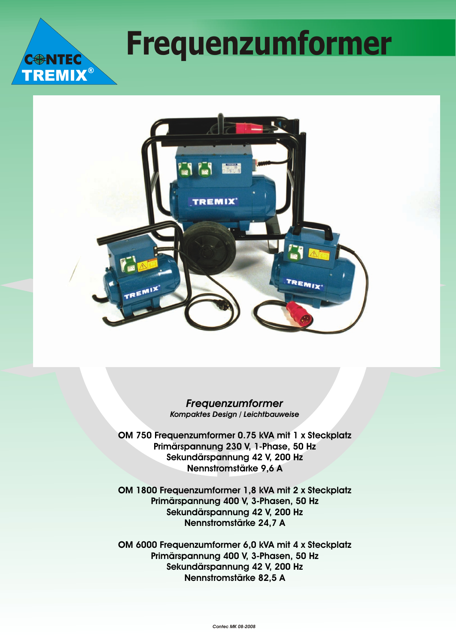

# **Frequenzumformer**



*Frequenzumformer Kompaktes Design / Leichtbauweise*

**OM 750 Frequenzumformer 0.75 kVA mit 1 x Steckplatz Primärspannung 230 V, 1-Phase, 50 Hz Sekundärspannung 42 V, 200 Hz Nennstromstärke 9,6 A**

**OM 1800 Frequenzumformer 1,8 kVA mit 2 x Steckplatz Primärspannung 400 V, 3-Phasen, 50 Hz Sekundärspannung 42 V, 200 Hz Nennstromstärke 24,7 A**

**OM 6000 Frequenzumformer 6,0 kVA mit 4 x Steckplatz Primärspannung 400 V, 3-Phasen, 50 Hz Sekundärspannung 42 V, 200 Hz Nennstromstärke 82,5 A**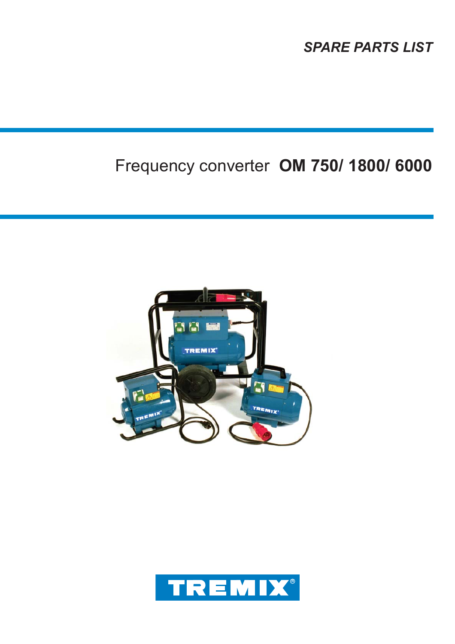## Frequency converter **OM 750/ 1800/ 6000**



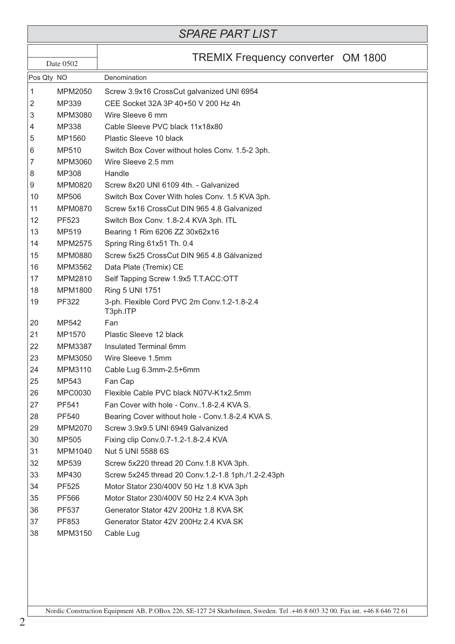|            | Date 0502      | <b>TREMIX Frequency converter</b> OM 1800               |
|------------|----------------|---------------------------------------------------------|
| Pos Qty NO |                | Denomination                                            |
|            |                |                                                         |
| 1          | MPM2050        | Screw 3.9x16 CrossCut galvanized UNI 6954               |
| 2          | MP339          | CEE Socket 32A 3P 40+50 V 200 Hz 4h                     |
| 3          | MPM3080        | Wire Sleeve 6 mm                                        |
| 4          | <b>MP338</b>   | Cable Sleeve PVC black 11x18x80                         |
| 5          | MP1560         | Plastic Sleeve 10 black                                 |
| 6          | MP510          | Switch Box Cover without holes Conv. 1.5-2 3ph.         |
| 7          | MPM3060        | Wire Sleeve 2.5 mm                                      |
| 8          | <b>MP308</b>   | Handle                                                  |
| 9          | <b>MPM0820</b> | Screw 8x20 UNI 6109 4th. - Galvanized                   |
| 10         | <b>MP506</b>   | Switch Box Cover With holes Conv. 1.5 KVA 3ph.          |
| 11         | <b>MPM0870</b> | Screw 5x16 CrossCut DIN 965 4.8 Galvanized              |
| 12         | PF523          | Switch Box Conv. 1.8-2.4 KVA 3ph. ITL                   |
| 13         | MP519          | Bearing 1 Rim 6206 ZZ 30x62x16                          |
| 14         | MPM2575        | Spring Ring 61x51 Th. 0.4                               |
| 15         | <b>MPM0880</b> | Screw 5x25 CrossCut DIN 965 4.8 Gálvanized              |
| 16         | MPM3562        | Data Plate (Tremix) CE                                  |
| 17         | MPM2810        | Self Tapping Screw 1.9x5 T.T.ACC:OTT                    |
| 18         | MPM1800        | Ring 5 UNI 1751                                         |
| 19         | PF322          | 3-ph. Flexible Cord PVC 2m Conv.1.2-1.8-2.4<br>T3ph.ITP |
| 20         | MP542          | Fan                                                     |
| 21         | MP1570         | Plastic Sleeve 12 black                                 |
| 22         | MPM3387        | Insulated Terminal 6mm                                  |
| 23         | MPM3050        | Wire Sleeve 1.5mm                                       |
| 24         | MPM3110        | Cable Lug 6.3mm-2.5+6mm                                 |
| 25         | MP543          | Fan Cap                                                 |
| 26         | <b>MPC0030</b> | Flexible Cable PVC black N07V-K1x2.5mm                  |
| 27         | PF541          | Fan Cover with hole - Conv1.8-2.4 KVA S.                |
| 28         | PF540          | Bearing Cover without hole - Conv.1.8-2.4 KVA S.        |
| 29         | MPM2070        | Screw 3.9x9.5 UNI 6949 Galvanized                       |
| 30         | MP505          | Fixing clip Conv.0.7-1.2-1.8-2.4 KVA                    |
| 31         | MPM1040        | Nut 5 UNI 5588 6S                                       |
| 32         | MP539          | Screw 5x220 thread 20 Conv.1.8 KVA 3ph.                 |
| 33         | MP430          | Screw 5x245 thread 20 Conv.1.2-1.8 1ph./1.2-2.43ph      |
| 34         | PF525          | Motor Stator 230/400V 50 Hz 1.8 KVA 3ph                 |
| 35         | PF566          | Motor Stator 230/400V 50 Hz 2.4 KVA 3ph                 |
| 36         | PF537          | Generator Stator 42V 200Hz 1.8 KVA SK                   |
| 37         | PF853          | Generator Stator 42V 200Hz 2.4 KVA SK                   |
| 38         | MPM3150        | Cable Lug                                               |
|            |                |                                                         |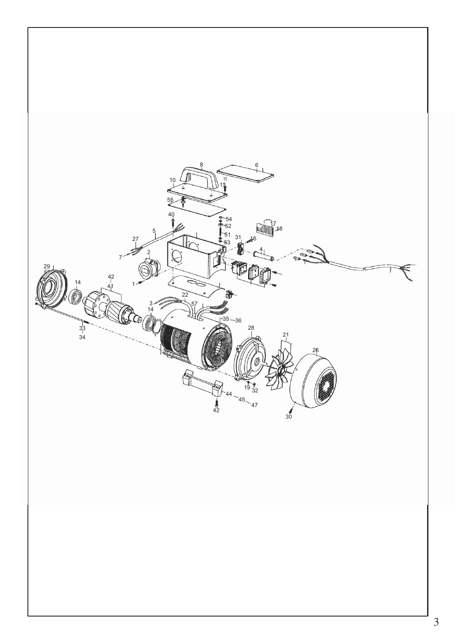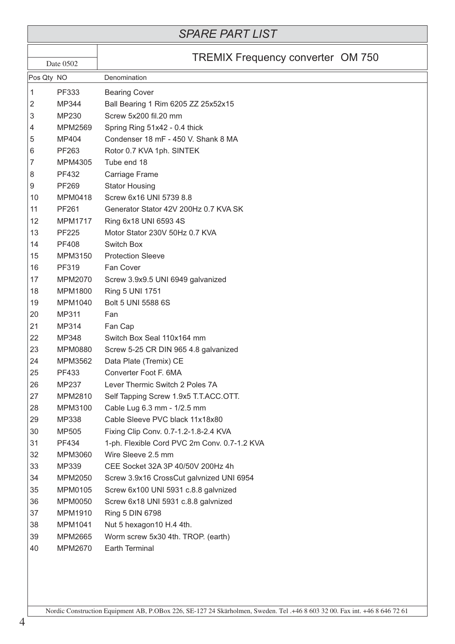|            | Date 0502      | <b>TREMIX Frequency converter OM 750</b>     |
|------------|----------------|----------------------------------------------|
| Pos Qty NO |                | Denomination                                 |
| 1          | PF333          | <b>Bearing Cover</b>                         |
| 2          | MP344          | Ball Bearing 1 Rim 6205 ZZ 25x52x15          |
| 3          | MP230          | Screw 5x200 fil.20 mm                        |
| 4          | <b>MPM2569</b> | Spring Ring 51x42 - 0.4 thick                |
| 5          | MP404          | Condenser 18 mF - 450 V. Shank 8 MA          |
| 6          | PF263          | Rotor 0.7 KVA 1ph. SINTEK                    |
| 7          | MPM4305        | Tube end 18                                  |
| 8          | PF432          | Carriage Frame                               |
| 9          | PF269          | <b>Stator Housing</b>                        |
| 10         | <b>MPM0418</b> | Screw 6x16 UNI 5739 8.8                      |
| 11         | PF261          | Generator Stator 42V 200Hz 0.7 KVA SK        |
| 12         | MPM1717        | Ring 6x18 UNI 6593 4S                        |
| 13         | <b>PF225</b>   | Motor Stator 230V 50Hz 0.7 KVA               |
| 14         | PF408          | Switch Box                                   |
| 15         | MPM3150        | <b>Protection Sleeve</b>                     |
| 16         | PF319          | Fan Cover                                    |
| 17         | MPM2070        | Screw 3.9x9.5 UNI 6949 galvanized            |
| 18         | <b>MPM1800</b> | Ring 5 UNI 1751                              |
| 19         | MPM1040        | Bolt 5 UNI 5588 6S                           |
| 20         | MP311          | Fan                                          |
| 21         | MP314          | Fan Cap                                      |
| 22         | MP348          | Switch Box Seal 110x164 mm                   |
| 23         | MPM0880        | Screw 5-25 CR DIN 965 4.8 galvanized         |
| 24         | MPM3562        | Data Plate (Tremix) CE                       |
| 25         | PF433          | Converter Foot F. 6MA                        |
| 26         | MP237          | Lever Thermic Switch 2 Poles 7A              |
| 27         | MPM2810        | Self Tapping Screw 1.9x5 T.T.ACC.OTT.        |
| 28         | MPM3100        | Cable Lug 6.3 mm - 1/2.5 mm                  |
| 29         | MP338          | Cable Sleeve PVC black 11x18x80              |
| 30         | MP505          | Fixing Clip Conv. 0.7-1.2-1.8-2.4 KVA        |
| 31         | PF434          | 1-ph. Flexible Cord PVC 2m Conv. 0.7-1.2 KVA |
| 32         | MPM3060        | Wire Sleeve 2.5 mm                           |
| 33         | MP339          | CEE Socket 32A 3P 40/50V 200Hz 4h            |
| 34         | <b>MPM2050</b> | Screw 3.9x16 CrossCut galvnized UNI 6954     |
| 35         | MPM0105        | Screw 6x100 UNI 5931 c.8.8 galvnized         |
| 36         | MPM0050        | Screw 6x18 UNI 5931 c.8.8 galvnized          |
| 37         | MPM1910        | Ring 5 DIN 6798                              |
| 38         | MPM1041        | Nut 5 hexagon 10 H.4 4th.                    |
| 39         | <b>MPM2665</b> | Worm screw 5x30 4th. TROP. (earth)           |
| 40         | <b>MPM2670</b> | Earth Terminal                               |
|            |                |                                              |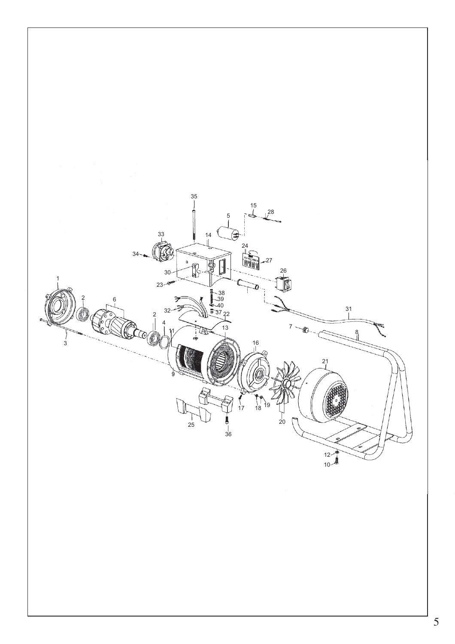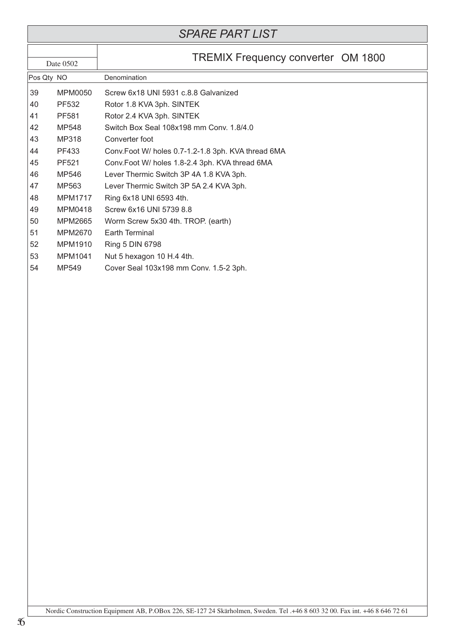| Date 0502  |                | <b>TREMIX Frequency converter OM 1800</b>           |
|------------|----------------|-----------------------------------------------------|
| Pos Qty NO |                | Denomination                                        |
| 39         | <b>MPM0050</b> | Screw 6x18 UNI 5931 c.8.8 Galvanized                |
| 40         | PF532          | Rotor 1.8 KVA 3ph. SINTEK                           |
| 41         | PF581          | Rotor 2.4 KVA 3ph. SINTEK                           |
| 42         | MP548          | Switch Box Seal 108x198 mm Cony, 1,8/4,0            |
| 43         | MP318          | Converter foot                                      |
| 44         | PF433          | Conv. Foot W/ holes 0.7-1.2-1.8 3ph. KVA thread 6MA |
| 45         | PF521          | Conv. Foot W/ holes 1.8-2.4 3ph. KVA thread 6MA     |
| 46         | MP546          | Lever Thermic Switch 3P 4A 1.8 KVA 3ph.             |
| 47         | MP563          | Lever Thermic Switch 3P 5A 2.4 KVA 3ph.             |
| 48         | <b>MPM1717</b> | Ring 6x18 UNI 6593 4th.                             |
| 49         | MPM0418        | Screw 6x16 UNI 5739 8.8                             |
| 50         | MPM2665        | Worm Screw 5x30 4th. TROP. (earth)                  |
| 51         | MPM2670        | <b>Earth Terminal</b>                               |
| 52         | MPM1910        | Ring 5 DIN 6798                                     |
| 53         | MPM1041        | Nut 5 hexagon 10 H.4 4th.                           |
| 54         | MP549          | Cover Seal 103x198 mm Conv. 1.5-2 3ph.              |
|            |                |                                                     |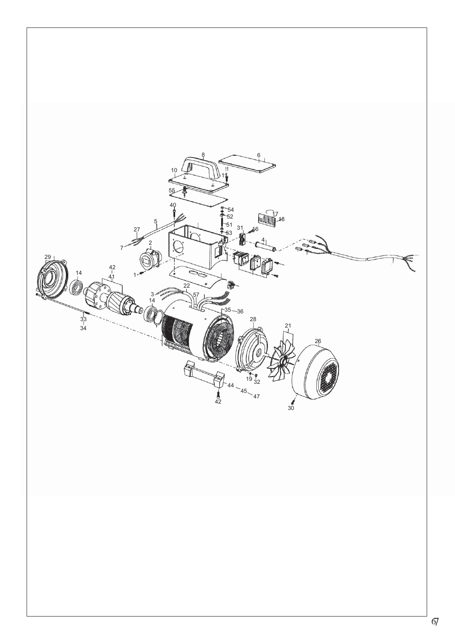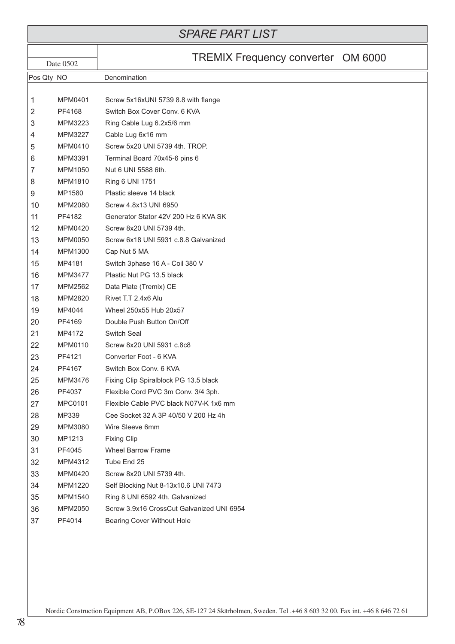ī

|            | Date 0502      | <b>TREMIX Frequency converter</b> OM 6000 |
|------------|----------------|-------------------------------------------|
| Pos Qty NO |                | Denomination                              |
|            |                |                                           |
| 1          | MPM0401        | Screw 5x16xUNI 5739 8.8 with flange       |
| 2          | PF4168         | Switch Box Cover Conv. 6 KVA              |
| 3          | MPM3223        | Ring Cable Lug 6.2x5/6 mm                 |
| 4          | MPM3227        | Cable Lug 6x16 mm                         |
| 5          | MPM0410        | Screw 5x20 UNI 5739 4th. TROP.            |
| 6          | MPM3391        | Terminal Board 70x45-6 pins 6             |
| 7          | MPM1050        | Nut 6 UNI 5588 6th.                       |
| 8          | MPM1810        | Ring 6 UNI 1751                           |
| 9          | MP1580         | Plastic sleeve 14 black                   |
| 10         | <b>MPM2080</b> | Screw 4.8x13 UNI 6950                     |
| 11         | PF4182         | Generator Stator 42V 200 Hz 6 KVA SK      |
| 12         | MPM0420        | Screw 8x20 UNI 5739 4th.                  |
| 13         | <b>MPM0050</b> | Screw 6x18 UNI 5931 c.8.8 Galvanized      |
| 14         | MPM1300        | Cap Nut 5 MA                              |
| 15         | MP4181         | Switch 3phase 16 A - Coil 380 V           |
| 16         | MPM3477        | Plastic Nut PG 13.5 black                 |
| 17         | MPM2562        | Data Plate (Tremix) CE                    |
| 18         | MPM2820        | Rivet T.T 2.4x6 Alu                       |
| 19         | MP4044         | Wheel 250x55 Hub 20x57                    |
| 20         | PF4169         | Double Push Button On/Off                 |
| 21         | MP4172         | Switch Seal                               |
| 22         | <b>MPM0110</b> | Screw 8x20 UNI 5931 c.8c8                 |
| 23         | PF4121         | Converter Foot - 6 KVA                    |
| 24         | PF4167         | Switch Box Conv. 6 KVA                    |
| 25         | MPM3476        | Fixing Clip Spiralblock PG 13.5 black     |
| 26         | PF4037         | Flexible Cord PVC 3m Conv. 3/4 3ph.       |
| 27         | MPC0101        | Flexible Cable PVC black N07V-K 1x6 mm    |
| 28         | MP339          | Cee Socket 32 A 3P 40/50 V 200 Hz 4h      |
| 29         | MPM3080        | Wire Sleeve 6mm                           |
| 30         | MP1213         | <b>Fixing Clip</b>                        |
| 31         | PF4045         | <b>Wheel Barrow Frame</b>                 |
| 32         | MPM4312        | Tube End 25                               |
| 33         | MPM0420        | Screw 8x20 UNI 5739 4th.                  |
| 34         | MPM1220        | Self Blocking Nut 8-13x10.6 UNI 7473      |
| 35         | MPM1540        | Ring 8 UNI 6592 4th. Galvanized           |
| 36         | MPM2050        | Screw 3.9x16 CrossCut Galvanized UNI 6954 |
| 37         | PF4014         | Bearing Cover Without Hole                |
|            |                |                                           |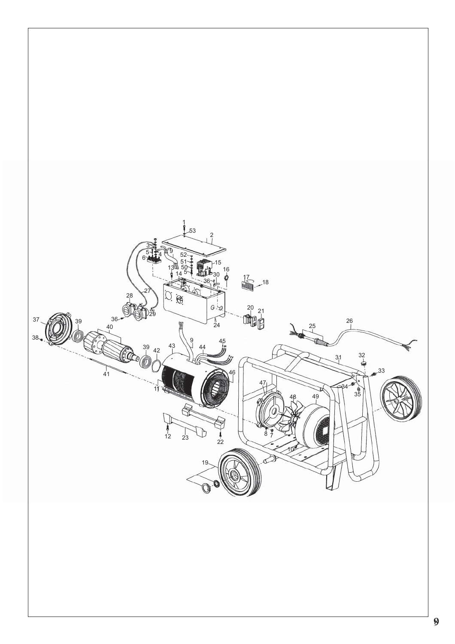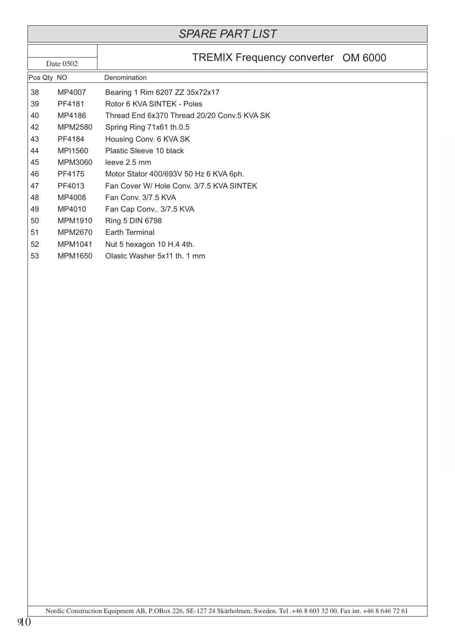| Date 0502  |                | TREMIX Frequency converter OM 6000          |
|------------|----------------|---------------------------------------------|
| Pos Qty NO |                | Denomination                                |
| 38         | MP4007         | Bearing 1 Rim 6207 ZZ 35x72x17              |
| 39         | PF4181         | Rotor 6 KVA SINTEK - Poles                  |
| 40         | MP4186         | Thread End 6x370 Thread 20/20 Conv.5 KVA SK |
| 42         | <b>MPM2580</b> | Spring Ring 71x61 th.0.5                    |
| 43         | PF4184         | Housing Conv. 6 KVA SK                      |
| 44         | MPI1560        | Plastic Sleeve 10 black                     |
| 45         | MPM3060        | leeve 2.5 mm                                |
| 46         | PF4175         | Motor Stator 400/693V 50 Hz 6 KVA 6ph.      |
| 47         | PF4013         | Fan Cover W/ Hole Conv. 3/7.5 KVA SINTEK    |
| 48         | MP4008         | Fan Conv. 3/7.5 KVA                         |
| 49         | MP4010         | Fan Cap Conv., 3/7.5 KVA                    |
| 50         | MPM1910        | Ring 5 DIN 6798                             |
| 51         | MPM2670        | Earth Terminal                              |
| 52         | MPM1041        | Nut 5 hexagon 10 H.4 4th.                   |
| 53         | MPM1650        | Olastc Washer 5x11 th. 1 mm                 |
|            |                |                                             |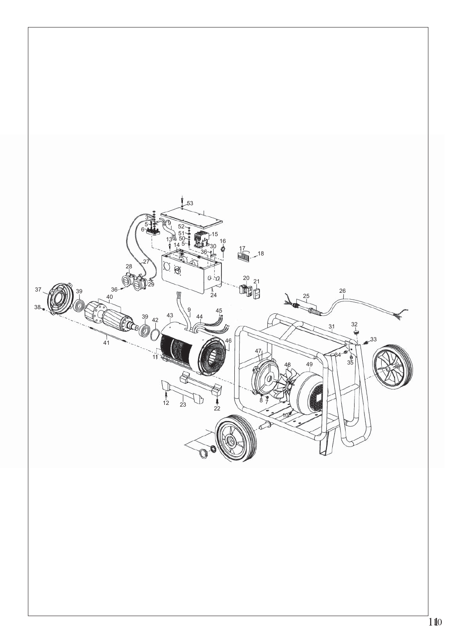